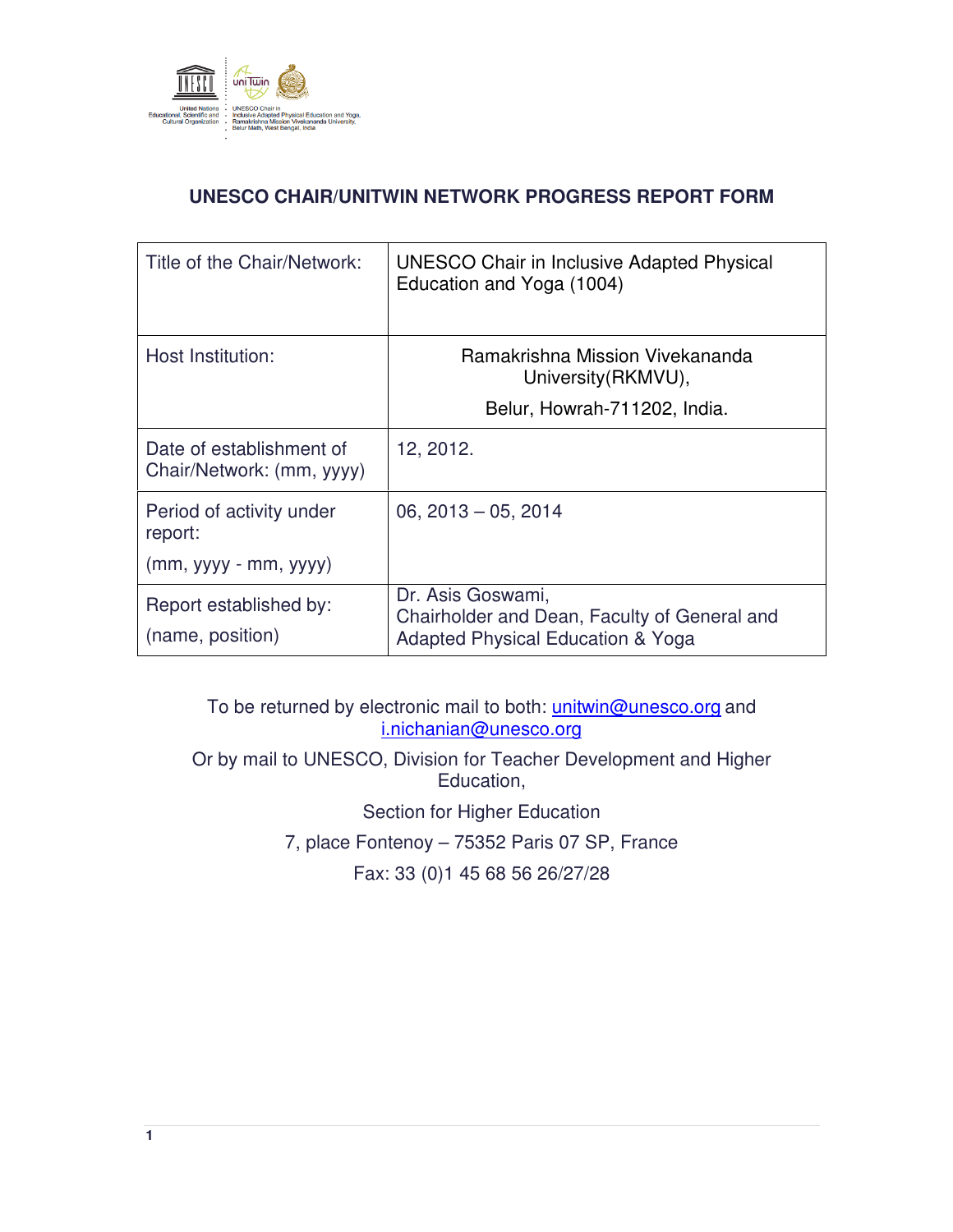

# **UNESCO CHAIR/UNITWIN NETWORK PROGRESS REPORT FORM**

| Title of the Chair/Network:                           | <b>UNESCO Chair in Inclusive Adapted Physical</b><br>Education and Yoga (1004)                         |  |
|-------------------------------------------------------|--------------------------------------------------------------------------------------------------------|--|
| Host Institution:                                     | Ramakrishna Mission Vivekananda<br>University (RKMVU),                                                 |  |
|                                                       | Belur, Howrah-711202, India.                                                                           |  |
| Date of establishment of<br>Chair/Network: (mm, yyyy) | 12, 2012.                                                                                              |  |
| Period of activity under<br>report:                   | $06, 2013 - 05, 2014$                                                                                  |  |
| $(mm, yyyy - mm, yyyy)$                               |                                                                                                        |  |
| Report established by:<br>(name, position)            | Dr. Asis Goswami,<br>Chairholder and Dean, Faculty of General and<br>Adapted Physical Education & Yoga |  |

To be returned by electronic mail to both: *unitwin@unesco.org* and i.nichanian@unesco.org

Or by mail to UNESCO, Division for Teacher Development and Higher Education,

Section for Higher Education

7, place Fontenoy – 75352 Paris 07 SP, France

Fax: 33 (0)1 45 68 56 26/27/28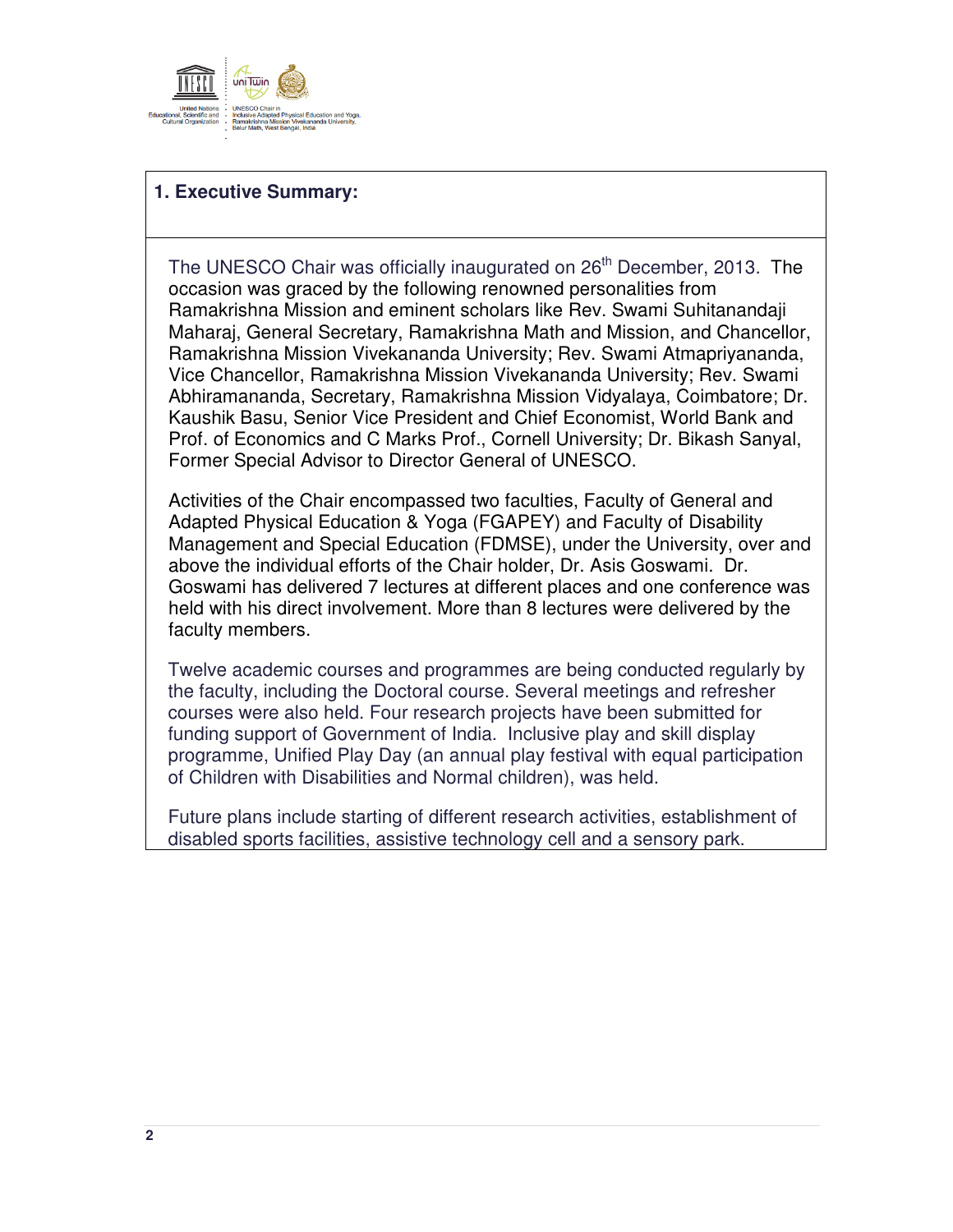

## **1. Executive Summary:**

The UNESCO Chair was officially inaugurated on 26<sup>th</sup> December, 2013. The occasion was graced by the following renowned personalities from Ramakrishna Mission and eminent scholars like Rev. Swami Suhitanandaji Maharaj, General Secretary, Ramakrishna Math and Mission, and Chancellor, Ramakrishna Mission Vivekananda University; Rev. Swami Atmapriyananda, Vice Chancellor, Ramakrishna Mission Vivekananda University; Rev. Swami Abhiramananda, Secretary, Ramakrishna Mission Vidyalaya, Coimbatore; Dr. Kaushik Basu, Senior Vice President and Chief Economist, World Bank and Prof. of Economics and C Marks Prof., Cornell University; Dr. Bikash Sanyal, Former Special Advisor to Director General of UNESCO.

Activities of the Chair encompassed two faculties, Faculty of General and Adapted Physical Education & Yoga (FGAPEY) and Faculty of Disability Management and Special Education (FDMSE), under the University, over and above the individual efforts of the Chair holder, Dr. Asis Goswami. Dr. Goswami has delivered 7 lectures at different places and one conference was held with his direct involvement. More than 8 lectures were delivered by the faculty members.

Twelve academic courses and programmes are being conducted regularly by the faculty, including the Doctoral course. Several meetings and refresher courses were also held. Four research projects have been submitted for funding support of Government of India. Inclusive play and skill display programme, Unified Play Day (an annual play festival with equal participation of Children with Disabilities and Normal children), was held.

Future plans include starting of different research activities, establishment of disabled sports facilities, assistive technology cell and a sensory park.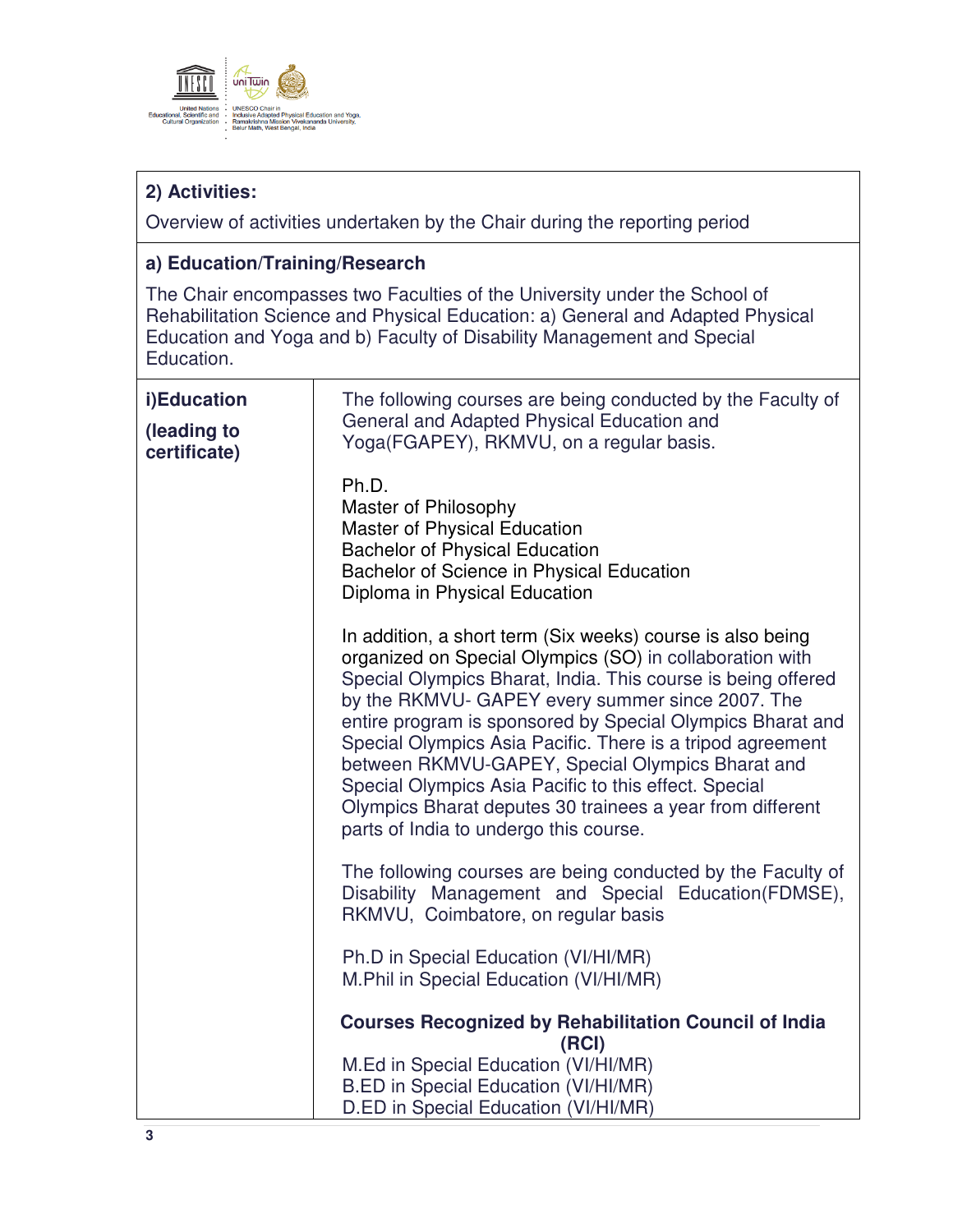

# **2) Activities:**

Overview of activities undertaken by the Chair during the reporting period

# **a) Education/Training/Research**

The Chair encompasses two Faculties of the University under the School of Rehabilitation Science and Physical Education: a) General and Adapted Physical Education and Yoga and b) Faculty of Disability Management and Special Education.

| i)Education<br>(leading to<br>certificate) | The following courses are being conducted by the Faculty of<br>General and Adapted Physical Education and<br>Yoga(FGAPEY), RKMVU, on a regular basis.                                                                                                                                                                                                                                                                                                                                                                                                                                      |  |  |
|--------------------------------------------|--------------------------------------------------------------------------------------------------------------------------------------------------------------------------------------------------------------------------------------------------------------------------------------------------------------------------------------------------------------------------------------------------------------------------------------------------------------------------------------------------------------------------------------------------------------------------------------------|--|--|
|                                            | Ph.D.<br>Master of Philosophy<br>Master of Physical Education<br><b>Bachelor of Physical Education</b><br>Bachelor of Science in Physical Education<br>Diploma in Physical Education                                                                                                                                                                                                                                                                                                                                                                                                       |  |  |
|                                            | In addition, a short term (Six weeks) course is also being<br>organized on Special Olympics (SO) in collaboration with<br>Special Olympics Bharat, India. This course is being offered<br>by the RKMVU- GAPEY every summer since 2007. The<br>entire program is sponsored by Special Olympics Bharat and<br>Special Olympics Asia Pacific. There is a tripod agreement<br>between RKMVU-GAPEY, Special Olympics Bharat and<br>Special Olympics Asia Pacific to this effect. Special<br>Olympics Bharat deputes 30 trainees a year from different<br>parts of India to undergo this course. |  |  |
|                                            | The following courses are being conducted by the Faculty of<br>Disability Management and Special Education(FDMSE),<br>RKMVU, Coimbatore, on regular basis                                                                                                                                                                                                                                                                                                                                                                                                                                  |  |  |
|                                            | Ph.D in Special Education (VI/HI/MR)<br>M.Phil in Special Education (VI/HI/MR)                                                                                                                                                                                                                                                                                                                                                                                                                                                                                                             |  |  |
|                                            | <b>Courses Recognized by Rehabilitation Council of India</b><br>(RCI)                                                                                                                                                                                                                                                                                                                                                                                                                                                                                                                      |  |  |
|                                            | M.Ed in Special Education (VI/HI/MR)<br>B.ED in Special Education (VI/HI/MR)<br>D.ED in Special Education (VI/HI/MR)                                                                                                                                                                                                                                                                                                                                                                                                                                                                       |  |  |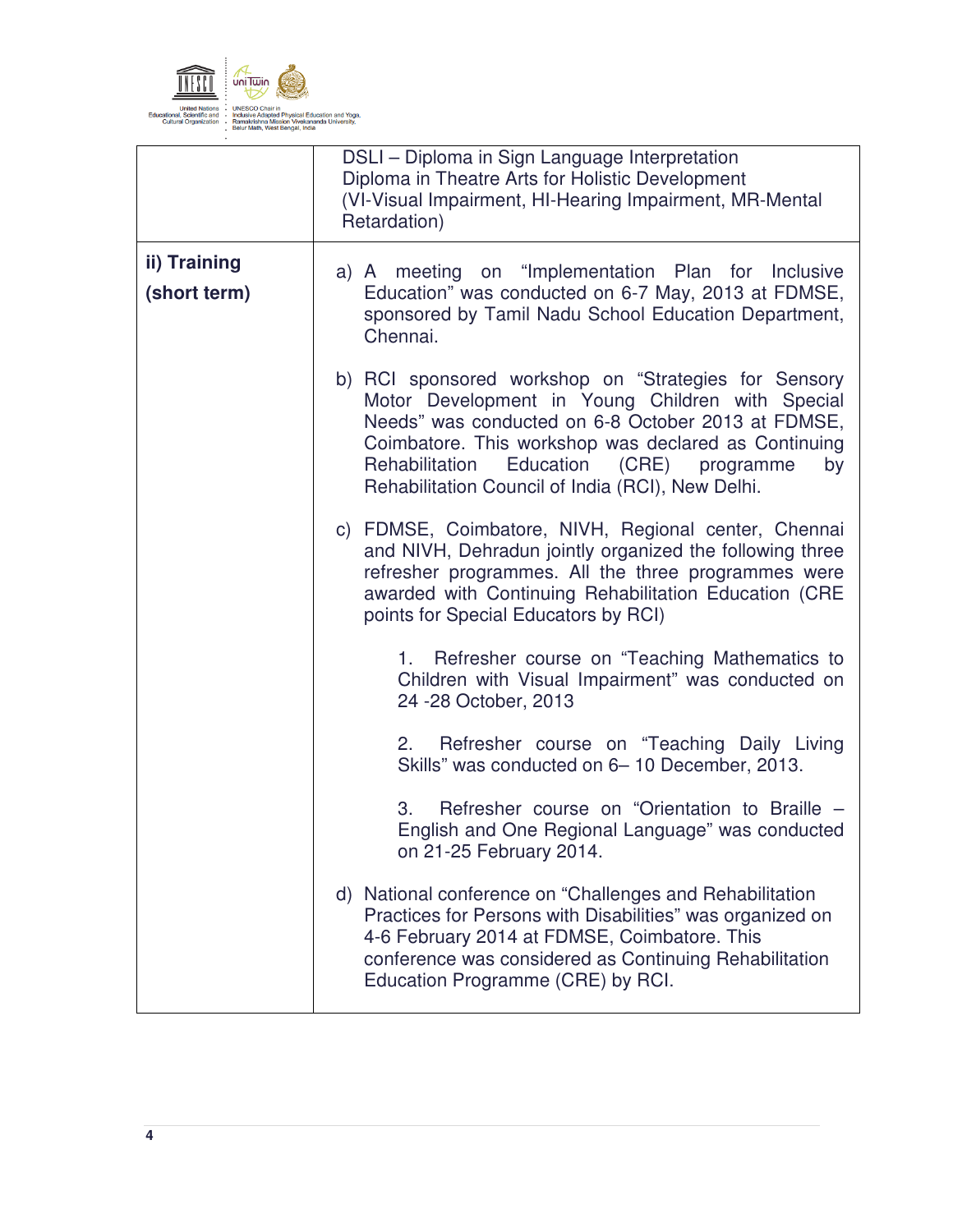

|                              | DSLI - Diploma in Sign Language Interpretation<br>Diploma in Theatre Arts for Holistic Development<br>(VI-Visual Impairment, HI-Hearing Impairment, MR-Mental<br>Retardation)                                                                                                                                                          |  |  |
|------------------------------|----------------------------------------------------------------------------------------------------------------------------------------------------------------------------------------------------------------------------------------------------------------------------------------------------------------------------------------|--|--|
| ii) Training<br>(short term) | a) A meeting on "Implementation Plan for Inclusive<br>Education" was conducted on 6-7 May, 2013 at FDMSE,<br>sponsored by Tamil Nadu School Education Department,<br>Chennai.                                                                                                                                                          |  |  |
|                              | b) RCI sponsored workshop on "Strategies for Sensory<br>Motor Development in Young Children with Special<br>Needs" was conducted on 6-8 October 2013 at FDMSE,<br>Coimbatore. This workshop was declared as Continuing<br>Rehabilitation<br>Education<br>(CRE)<br>programme<br>by<br>Rehabilitation Council of India (RCI), New Delhi. |  |  |
|                              | c) FDMSE, Coimbatore, NIVH, Regional center, Chennai<br>and NIVH, Dehradun jointly organized the following three<br>refresher programmes. All the three programmes were<br>awarded with Continuing Rehabilitation Education (CRE<br>points for Special Educators by RCI)                                                               |  |  |
|                              | 1. Refresher course on "Teaching Mathematics to<br>Children with Visual Impairment" was conducted on<br>24 - 28 October, 2013                                                                                                                                                                                                          |  |  |
|                              | Refresher course on "Teaching Daily Living<br>2.<br>Skills" was conducted on 6-10 December, 2013.                                                                                                                                                                                                                                      |  |  |
|                              | Refresher course on "Orientation to Braille -<br>3.<br>English and One Regional Language" was conducted<br>on 21-25 February 2014.                                                                                                                                                                                                     |  |  |
|                              | d) National conference on "Challenges and Rehabilitation<br>Practices for Persons with Disabilities" was organized on<br>4-6 February 2014 at FDMSE, Coimbatore. This<br>conference was considered as Continuing Rehabilitation<br>Education Programme (CRE) by RCI.                                                                   |  |  |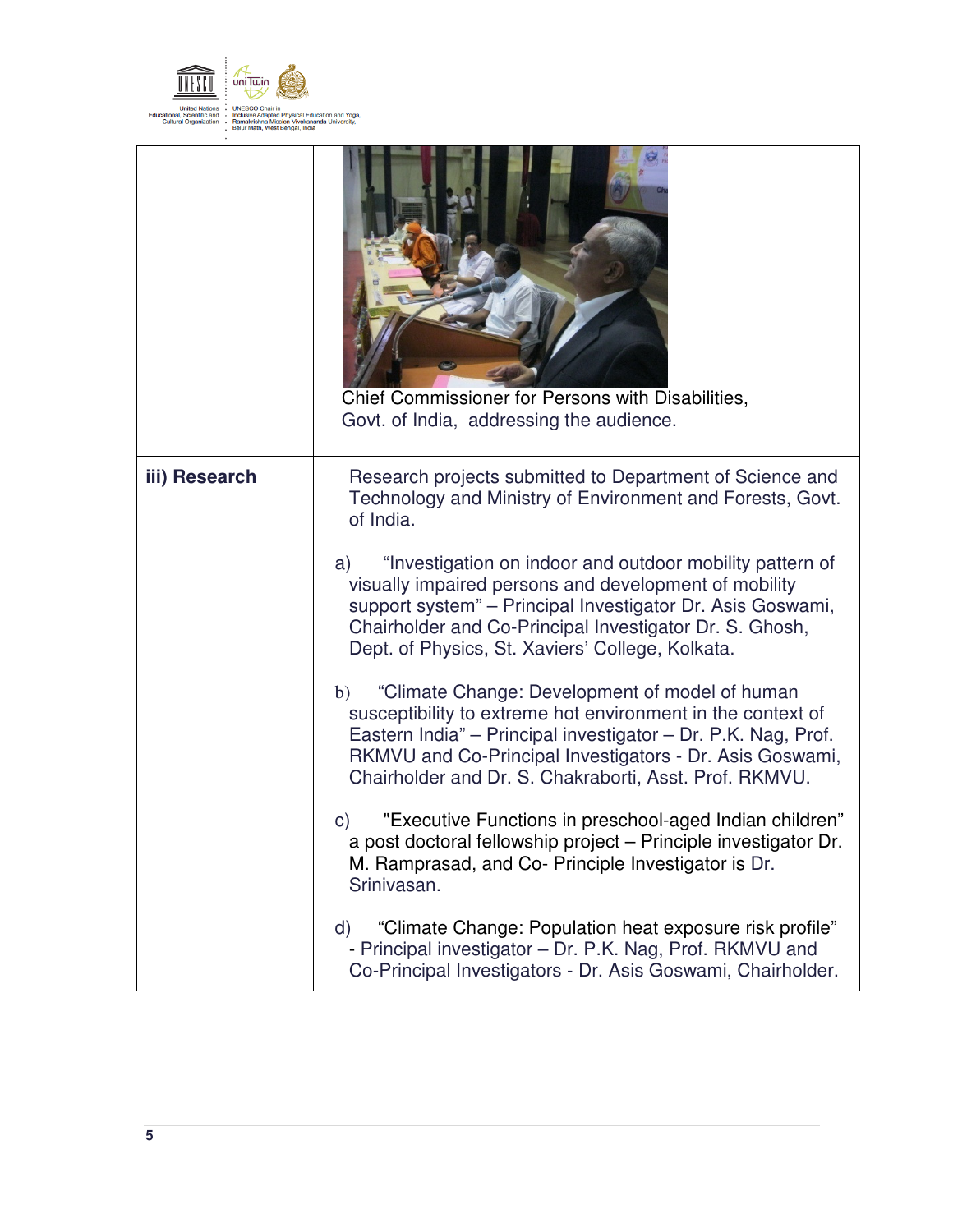

| Chief Commissioner for Persons with Disabilities,<br>Govt. of India, addressing the audience.                                                                                                                                                                                                                                                                                                                                                                                                                                                                                                                                                                                                                                                            |
|----------------------------------------------------------------------------------------------------------------------------------------------------------------------------------------------------------------------------------------------------------------------------------------------------------------------------------------------------------------------------------------------------------------------------------------------------------------------------------------------------------------------------------------------------------------------------------------------------------------------------------------------------------------------------------------------------------------------------------------------------------|
| Research projects submitted to Department of Science and<br>Technology and Ministry of Environment and Forests, Govt.<br>of India.<br>"Investigation on indoor and outdoor mobility pattern of<br>a)<br>visually impaired persons and development of mobility<br>support system" - Principal Investigator Dr. Asis Goswami,<br>Chairholder and Co-Principal Investigator Dr. S. Ghosh,<br>Dept. of Physics, St. Xaviers' College, Kolkata.<br>"Climate Change: Development of model of human<br>b)<br>susceptibility to extreme hot environment in the context of<br>Eastern India" - Principal investigator - Dr. P.K. Nag, Prof.<br>RKMVU and Co-Principal Investigators - Dr. Asis Goswami,<br>Chairholder and Dr. S. Chakraborti, Asst. Prof. RKMVU. |
| "Executive Functions in preschool-aged Indian children"<br>$\mathsf{C}$<br>a post doctoral fellowship project - Principle investigator Dr.<br>M. Ramprasad, and Co- Principle Investigator is Dr.<br>Srinivasan.<br>"Climate Change: Population heat exposure risk profile"<br>d)<br>- Principal investigator – Dr. P.K. Nag, Prof. RKMVU and                                                                                                                                                                                                                                                                                                                                                                                                            |
|                                                                                                                                                                                                                                                                                                                                                                                                                                                                                                                                                                                                                                                                                                                                                          |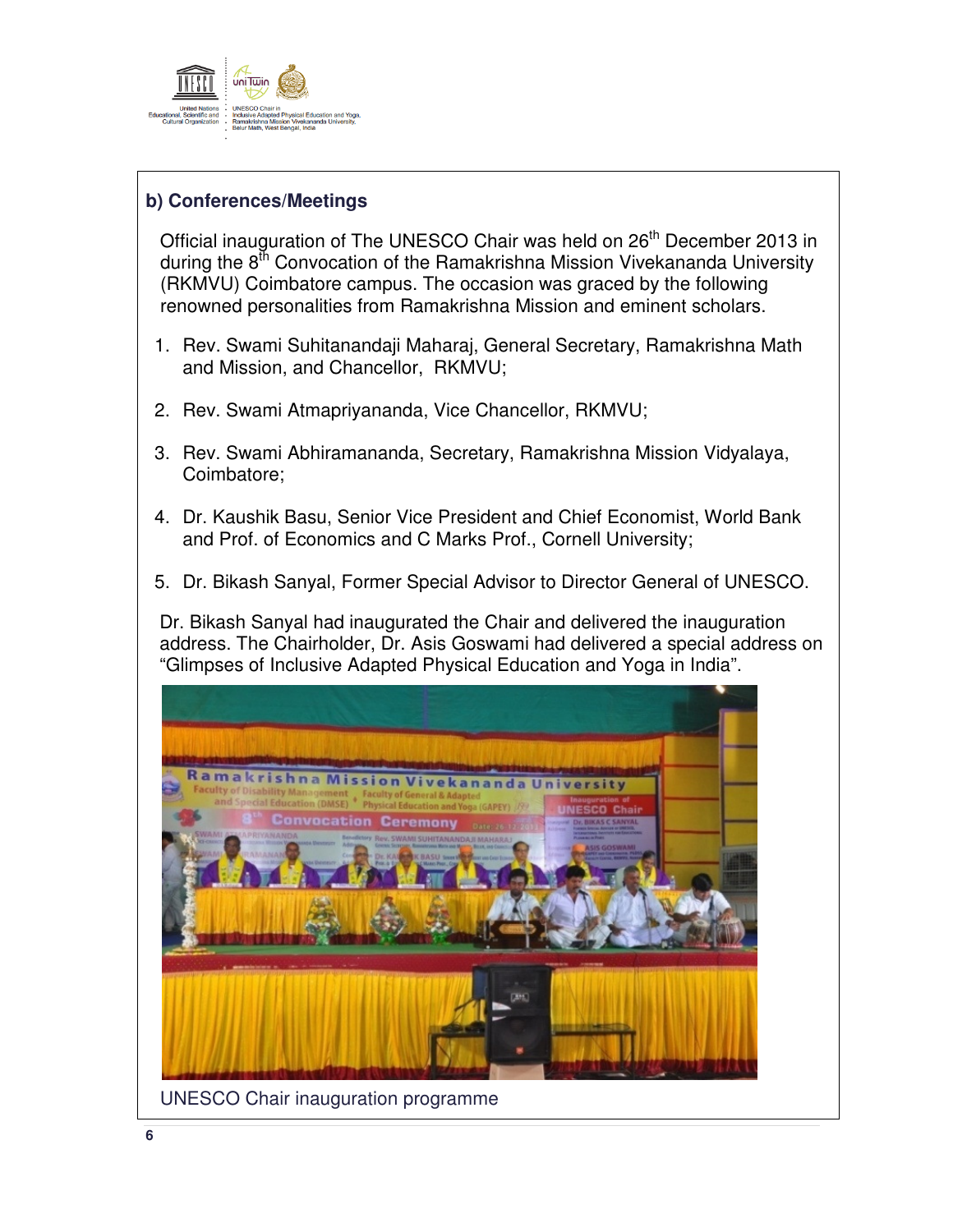

## **b) Conferences/Meetings**

Official inauguration of The UNESCO Chair was held on 26<sup>th</sup> December 2013 in during the  $8<sup>th</sup>$  Convocation of the Ramakrishna Mission Vivekananda University (RKMVU) Coimbatore campus. The occasion was graced by the following renowned personalities from Ramakrishna Mission and eminent scholars.

- 1. Rev. Swami Suhitanandaji Maharaj, General Secretary, Ramakrishna Math and Mission, and Chancellor, RKMVU;
- 2. Rev. Swami Atmapriyananda, Vice Chancellor, RKMVU;
- 3. Rev. Swami Abhiramananda, Secretary, Ramakrishna Mission Vidyalaya, Coimbatore;
- 4. Dr. Kaushik Basu, Senior Vice President and Chief Economist, World Bank and Prof. of Economics and C Marks Prof., Cornell University;
- 5. Dr. Bikash Sanyal, Former Special Advisor to Director General of UNESCO.

Dr. Bikash Sanyal had inaugurated the Chair and delivered the inauguration address. The Chairholder, Dr. Asis Goswami had delivered a special address on "Glimpses of Inclusive Adapted Physical Education and Yoga in India".

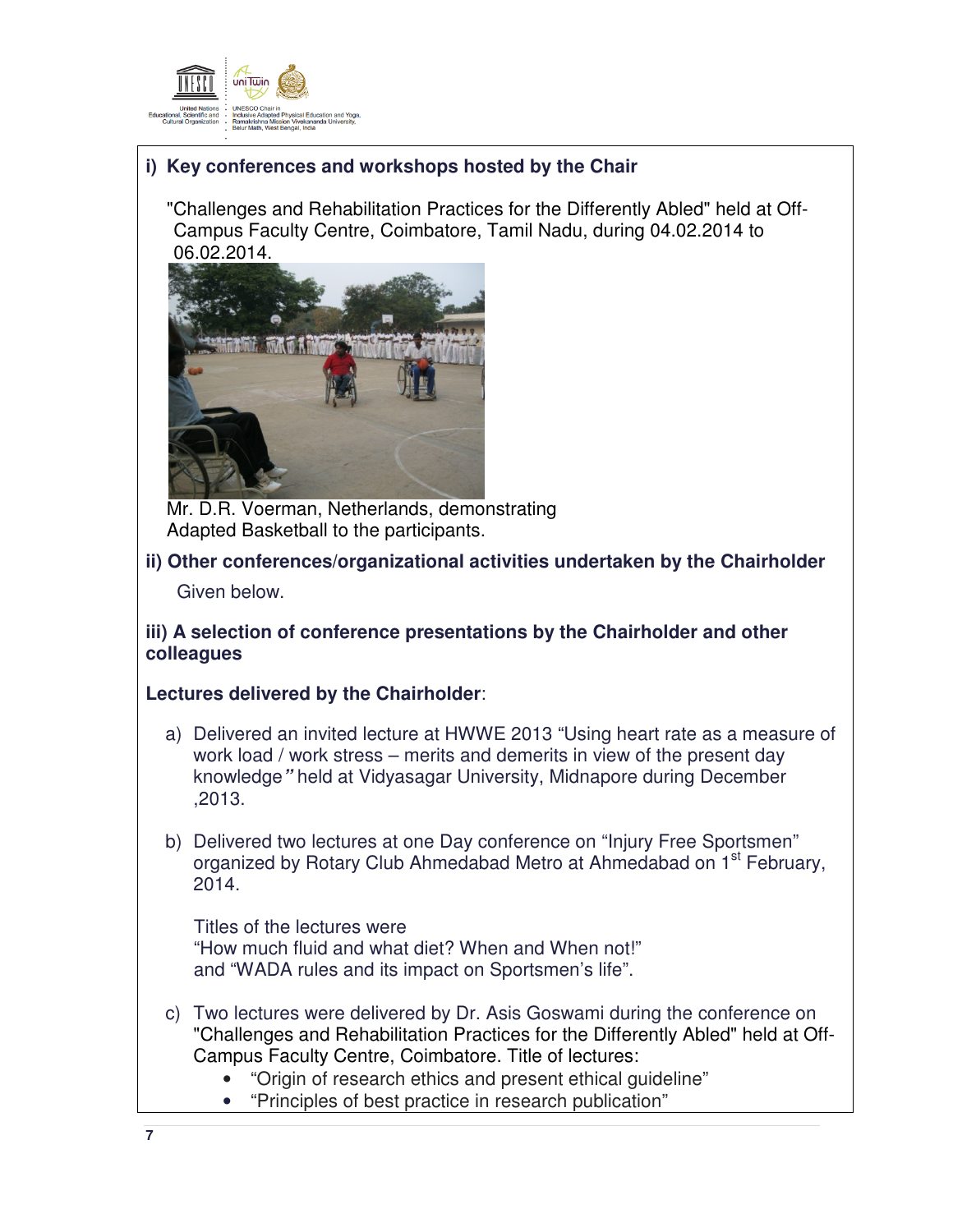

# **i) Key conferences and workshops hosted by the Chair**

"Challenges and Rehabilitation Practices for the Differently Abled" held at Off-Campus Faculty Centre, Coimbatore, Tamil Nadu, during 04.02.2014 to 06.02.2014.



Mr. D.R. Voerman, Netherlands, demonstrating Adapted Basketball to the participants.

## **ii) Other conferences/organizational activities undertaken by the Chairholder**

Given below.

### **iii) A selection of conference presentations by the Chairholder and other colleagues**

#### **Lectures delivered by the Chairholder**:

- a) Delivered an invited lecture at HWWE 2013 "Using heart rate as a measure of work load / work stress – merits and demerits in view of the present day knowledge**"** held at Vidyasagar University, Midnapore during December ,2013.
- b) Delivered two lectures at one Day conference on "Injury Free Sportsmen" organized by Rotary Club Ahmedabad Metro at Ahmedabad on 1<sup>st</sup> February, 2014.

Titles of the lectures were "How much fluid and what diet? When and When not!" and "WADA rules and its impact on Sportsmen's life".

- c) Two lectures were delivered by Dr. Asis Goswami during the conference on "Challenges and Rehabilitation Practices for the Differently Abled" held at Off-Campus Faculty Centre, Coimbatore. Title of lectures:
	- "Origin of research ethics and present ethical guideline"
	- "Principles of best practice in research publication"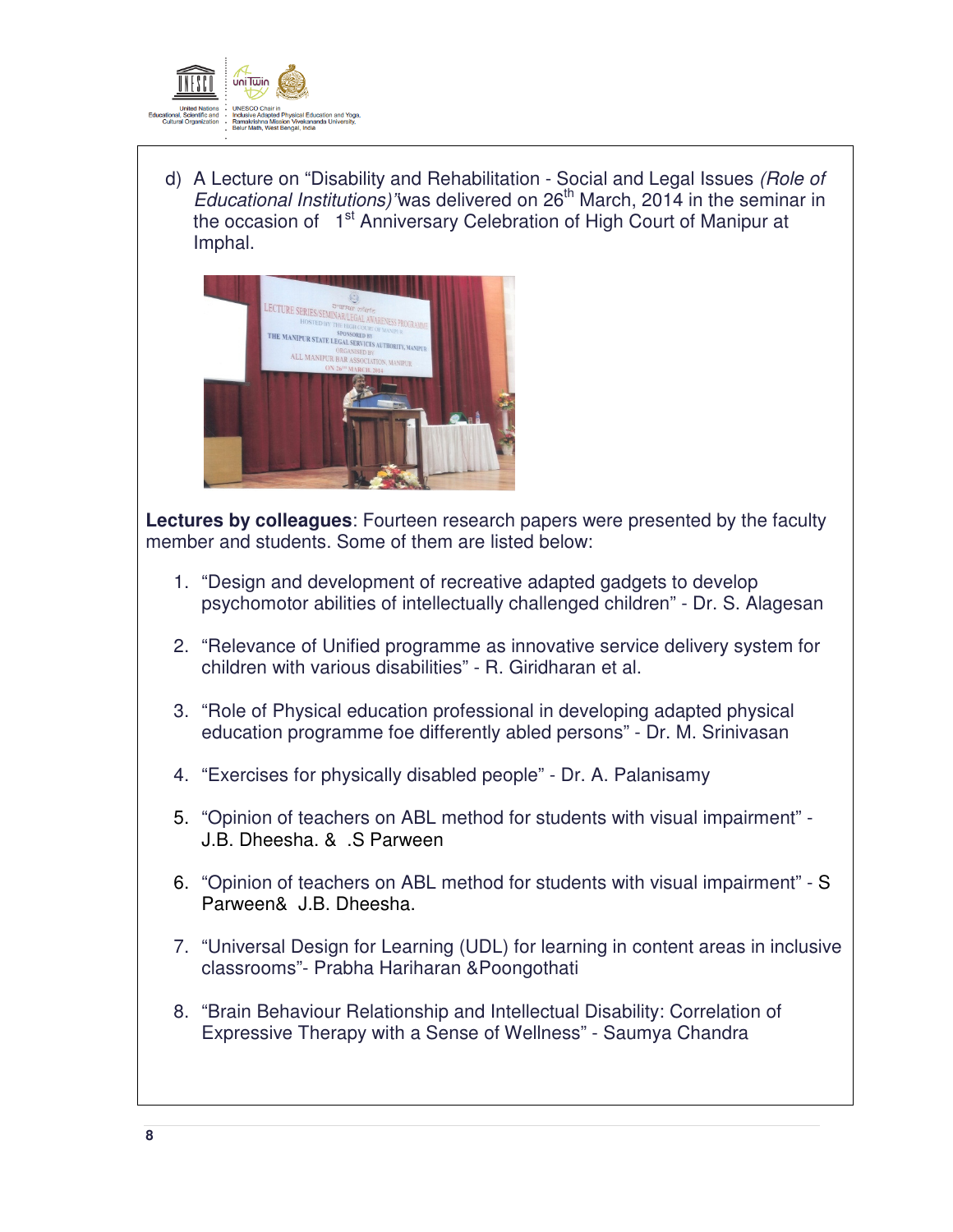

d) A Lecture on "Disability and Rehabilitation - Social and Legal Issues (Role of Educational Institutions) was delivered on  $26<sup>th</sup>$  March, 2014 in the seminar in the occasion of 1<sup>st</sup> Anniversary Celebration of High Court of Manipur at Imphal.



**Lectures by colleagues**: Fourteen research papers were presented by the faculty member and students. Some of them are listed below:

- 1. "Design and development of recreative adapted gadgets to develop psychomotor abilities of intellectually challenged children" - Dr. S. Alagesan
- 2. "Relevance of Unified programme as innovative service delivery system for children with various disabilities" - R. Giridharan et al.
- 3. "Role of Physical education professional in developing adapted physical education programme foe differently abled persons" - Dr. M. Srinivasan
- 4. "Exercises for physically disabled people" Dr. A. Palanisamy
- 5. "Opinion of teachers on ABL method for students with visual impairment" J.B. Dheesha. & .S Parween
- 6. "Opinion of teachers on ABL method for students with visual impairment" S Parween& J.B. Dheesha.
- 7. "Universal Design for Learning (UDL) for learning in content areas in inclusive classrooms"- Prabha Hariharan &Poongothati
- 8. "Brain Behaviour Relationship and Intellectual Disability: Correlation of Expressive Therapy with a Sense of Wellness" - Saumya Chandra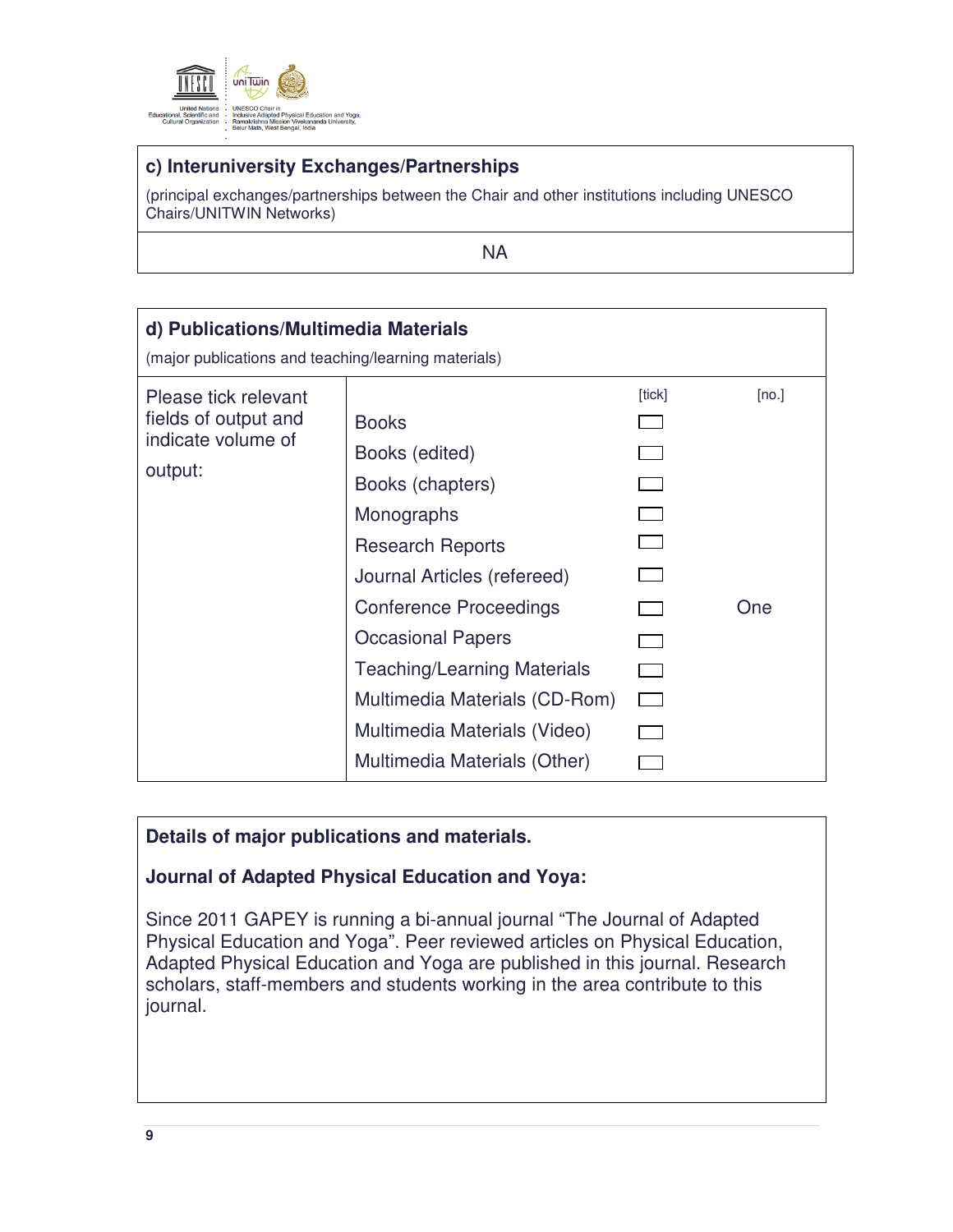

# **c) Interuniversity Exchanges/Partnerships**

(principal exchanges/partnerships between the Chair and other institutions including UNESCO Chairs/UNITWIN Networks)

NA

| d) Publications/Multimedia Materials<br>(major publications and teaching/learning materials) |                                                                                                                                                                                                                                                                                                                                |                                      |              |  |  |
|----------------------------------------------------------------------------------------------|--------------------------------------------------------------------------------------------------------------------------------------------------------------------------------------------------------------------------------------------------------------------------------------------------------------------------------|--------------------------------------|--------------|--|--|
| Please tick relevant<br>fields of output and<br>indicate volume of<br>output:                | <b>Books</b><br>Books (edited)<br>Books (chapters)<br>Monographs<br><b>Research Reports</b><br>Journal Articles (refereed)<br><b>Conference Proceedings</b><br><b>Occasional Papers</b><br><b>Teaching/Learning Materials</b><br>Multimedia Materials (CD-Rom)<br>Multimedia Materials (Video)<br>Multimedia Materials (Other) | [tick]<br>$\mathcal{L}(\mathcal{L})$ | [no.]<br>One |  |  |

## **Details of major publications and materials.**

# **Journal of Adapted Physical Education and Yoya:**

Since 2011 GAPEY is running a bi-annual journal "The Journal of Adapted Physical Education and Yoga". Peer reviewed articles on Physical Education, Adapted Physical Education and Yoga are published in this journal. Research scholars, staff-members and students working in the area contribute to this journal.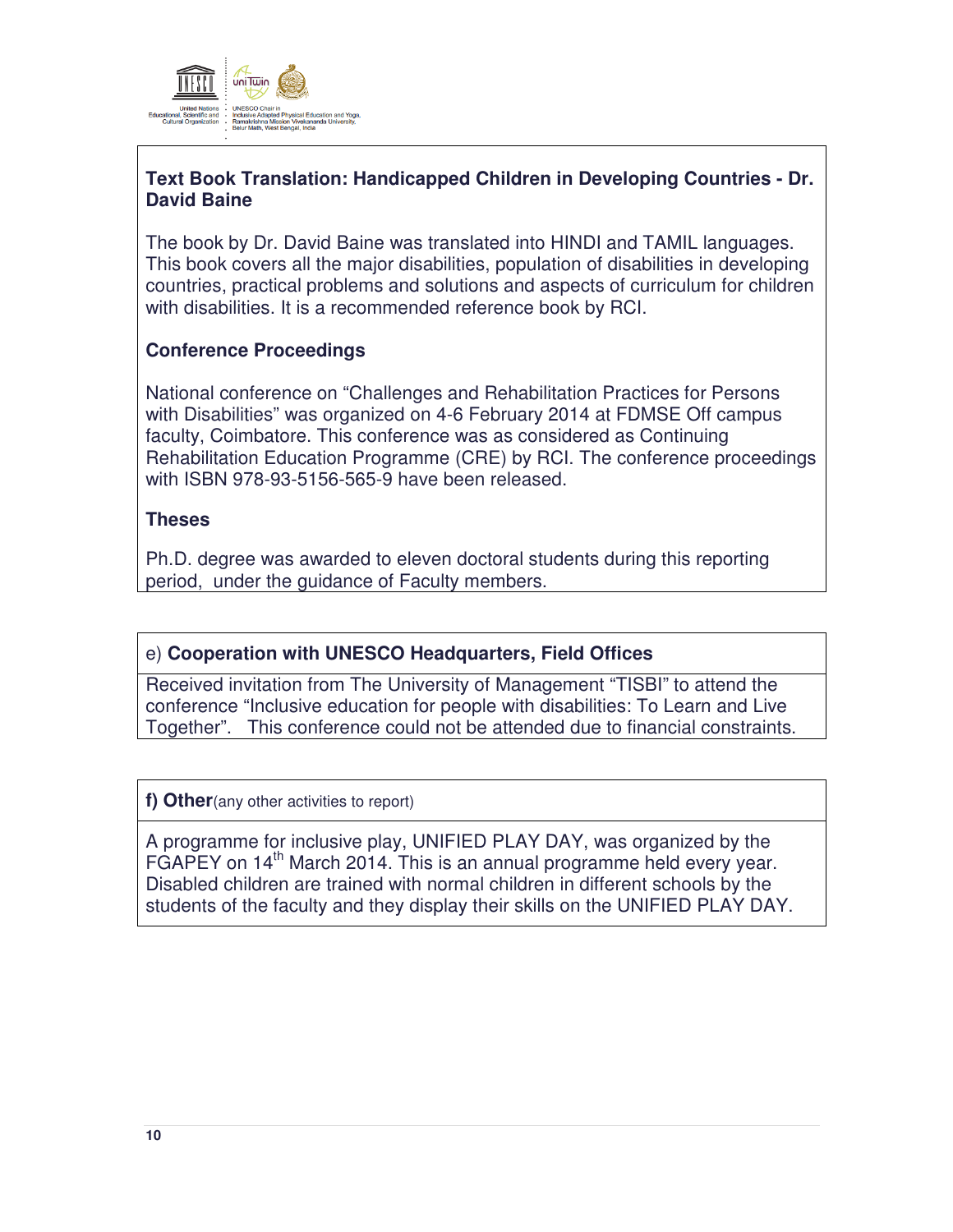

## **Text Book Translation: Handicapped Children in Developing Countries - Dr. David Baine**

The book by Dr. David Baine was translated into HINDI and TAMIL languages. This book covers all the major disabilities, population of disabilities in developing countries, practical problems and solutions and aspects of curriculum for children with disabilities. It is a recommended reference book by RCI.

## **Conference Proceedings**

National conference on "Challenges and Rehabilitation Practices for Persons with Disabilities" was organized on 4-6 February 2014 at FDMSE Off campus faculty, Coimbatore. This conference was as considered as Continuing Rehabilitation Education Programme (CRE) by RCI. The conference proceedings with ISBN 978-93-5156-565-9 have been released.

### **Theses**

Ph.D. degree was awarded to eleven doctoral students during this reporting period, under the guidance of Faculty members.

# e) **Cooperation with UNESCO Headquarters, Field Offices**

Received invitation from The University of Management "TISBI" to attend the conference "Inclusive education for people with disabilities: To Learn and Live Together". This conference could not be attended due to financial constraints.

**f) Other**(any other activities to report)

A programme for inclusive play, UNIFIED PLAY DAY, was organized by the FGAPEY on 14<sup>th</sup> March 2014. This is an annual programme held every year. Disabled children are trained with normal children in different schools by the students of the faculty and they display their skills on the UNIFIED PLAY DAY.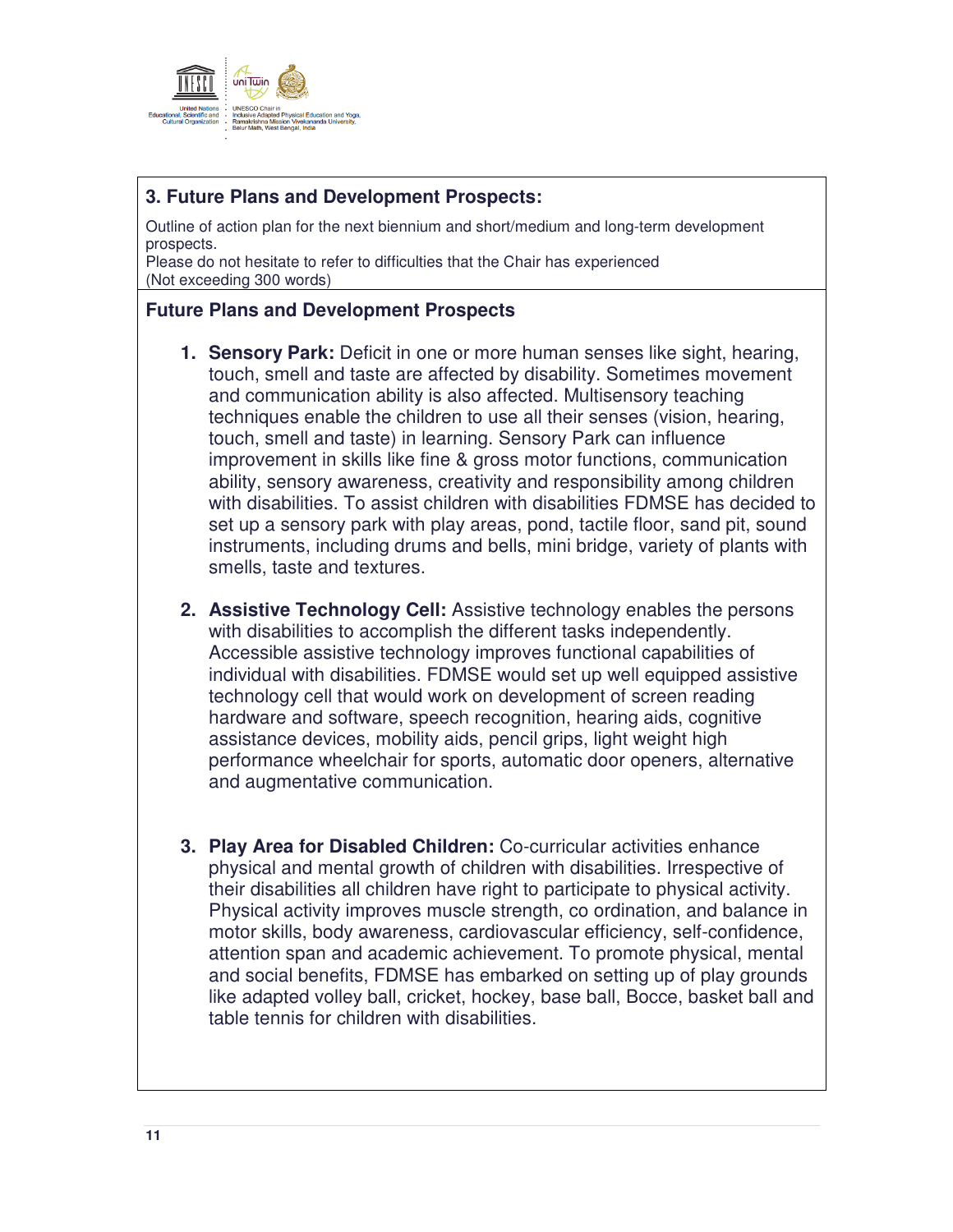

## **3. Future Plans and Development Prospects:**

Outline of action plan for the next biennium and short/medium and long-term development prospects.

Please do not hesitate to refer to difficulties that the Chair has experienced (Not exceeding 300 words)

#### **Future Plans and Development Prospects**

- **1. Sensory Park:** Deficit in one or more human senses like sight, hearing, touch, smell and taste are affected by disability. Sometimes movement and communication ability is also affected. Multisensory teaching techniques enable the children to use all their senses (vision, hearing, touch, smell and taste) in learning. Sensory Park can influence improvement in skills like fine & gross motor functions, communication ability, sensory awareness, creativity and responsibility among children with disabilities. To assist children with disabilities FDMSE has decided to set up a sensory park with play areas, pond, tactile floor, sand pit, sound instruments, including drums and bells, mini bridge, variety of plants with smells, taste and textures.
- **2. Assistive Technology Cell:** Assistive technology enables the persons with disabilities to accomplish the different tasks independently. Accessible assistive technology improves functional capabilities of individual with disabilities. FDMSE would set up well equipped assistive technology cell that would work on development of screen reading hardware and software, speech recognition, hearing aids, cognitive assistance devices, mobility aids, pencil grips, light weight high performance wheelchair for sports, automatic door openers, alternative and augmentative communication.
- **3. Play Area for Disabled Children:** Co-curricular activities enhance physical and mental growth of children with disabilities. Irrespective of their disabilities all children have right to participate to physical activity. Physical activity improves muscle strength, co ordination, and balance in motor skills, body awareness, cardiovascular efficiency, self-confidence, attention span and academic achievement. To promote physical, mental and social benefits, FDMSE has embarked on setting up of play grounds like adapted volley ball, cricket, hockey, base ball, Bocce, basket ball and table tennis for children with disabilities.